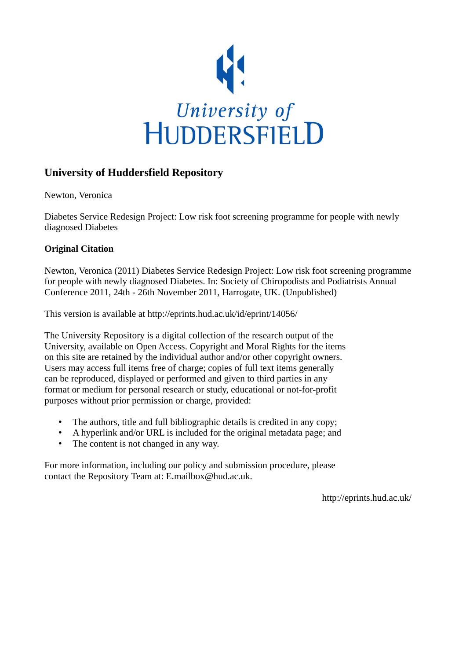

# **University of Huddersfield Repository**

Newton, Veronica

Diabetes Service Redesign Project: Low risk foot screening programme for people with newly diagnosed Diabetes

## **Original Citation**

Newton, Veronica (2011) Diabetes Service Redesign Project: Low risk foot screening programme for people with newly diagnosed Diabetes. In: Society of Chiropodists and Podiatrists Annual Conference 2011, 24th - 26th November 2011, Harrogate, UK. (Unpublished)

This version is available at http://eprints.hud.ac.uk/id/eprint/14056/

The University Repository is a digital collection of the research output of the University, available on Open Access. Copyright and Moral Rights for the items on this site are retained by the individual author and/or other copyright owners. Users may access full items free of charge; copies of full text items generally can be reproduced, displayed or performed and given to third parties in any format or medium for personal research or study, educational or not-for-profit purposes without prior permission or charge, provided:

- The authors, title and full bibliographic details is credited in any copy;
- A hyperlink and/or URL is included for the original metadata page; and
- The content is not changed in any way.

For more information, including our policy and submission procedure, please contact the Repository Team at: E.mailbox@hud.ac.uk.

http://eprints.hud.ac.uk/